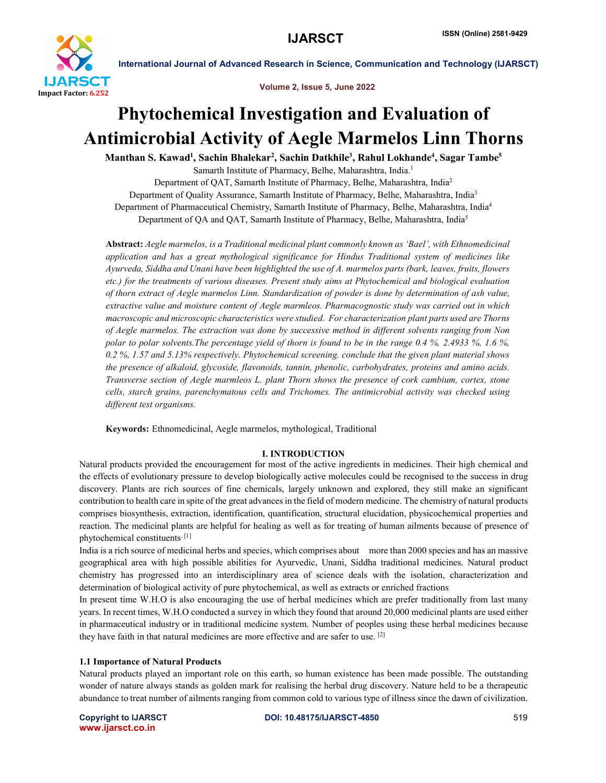

Volume 2, Issue 5, June 2022

# Phytochemical Investigation and Evaluation of Antimicrobial Activity of Aegle Marmelos Linn Thorns

Manthan S. Kawad<sup>1</sup>, Sachin Bhalekar<sup>2</sup>, Sachin Datkhile<sup>3</sup>, Rahul Lokhande<sup>4</sup>, Sagar Tambe<sup>5</sup>

Samarth Institute of Pharmacy, Belhe, Maharashtra, India.1 Department of QAT, Samarth Institute of Pharmacy, Belhe, Maharashtra, India2 Department of Quality Assurance, Samarth Institute of Pharmacy, Belhe, Maharashtra, India<sup>3</sup> Department of Pharmaceutical Chemistry, Samarth Institute of Pharmacy, Belhe, Maharashtra, India4 Department of QA and QAT, Samarth Institute of Pharmacy, Belhe, Maharashtra, India5

Abstract: *Aegle marmelos, is a Traditional medicinal plant commonly known as 'Bael', with Ethnomedicinal application and has a great mythological significance for Hindus Traditional system of medicines like Ayurveda, Siddha and Unani have been highlighted the use of A. marmelos parts (bark, leaves, fruits, flowers etc.) for the treatments of various diseases. Present study aims at Phytochemical and biological evaluation of thorn extract of Aegle marmelos Linn. Standardization of powder is done by determination of ash value, extractive value and moisture content of Aegle marmleos. Pharmacognostic study was carried out in which macroscopic and microscopic characteristics were studied. For characterization plant parts used are Thorns of Aegle marmelos. The extraction was done by successive method in different solvents ranging from Non polar to polar solvents.The percentage yield of thorn is found to be in the range 0.4 %, 2.4933 %, 1.6 %, 0.2 %, 1.57 and 5.13% respectively. Phytochemical screening. conclude that the given plant material shows the presence of alkaloid, glycoside, flavonoids, tannin, phenolic, carbohydrates, proteins and amino acids. Transverse section of Aegle marmleos L. plant Thorn shows the presence of cork cambium, cortex, stone cells, starch grains, parenchymatous cells and Trichomes. The antimicrobial activity was checked using different test organisms.*

Keywords: Ethnomedicinal, Aegle marmelos, mythological, Traditional

# I. INTRODUCTION

Natural products provided the encouragement for most of the active ingredients in medicines. Their high chemical and the effects of evolutionary pressure to develop biologically active molecules could be recognised to the success in drug discovery. Plants are rich sources of fine chemicals, largely unknown and explored, they still make an significant contribution to health care in spite of the great advances in the field of modern medicine. The chemistry of natural products comprises biosynthesis, extraction, identification, quantification, structural elucidation, physicochemical properties and reaction. The medicinal plants are helpful for healing as well as for treating of human ailments because of presence of phytochemical constituents. [1]

India is a rich source of medicinal herbs and species, which comprises about more than 2000 species and has an massive geographical area with high possible abilities for Ayurvedic, Unani, Siddha traditional medicines. Natural product chemistry has progressed into an interdisciplinary area of science deals with the isolation, characterization and determination of biological activity of pure phytochemical, as well as extracts or enriched fractions

In present time W.H.O is also encouraging the use of herbal medicines which are prefer traditionally from last many years. In recent times, W.H.O conducted a survey in which they found that around 20,000 medicinal plants are used either in pharmaceutical industry or in traditional medicine system. Number of peoples using these herbal medicines because they have faith in that natural medicines are more effective and are safer to use. [2]

#### 1.1 Importance of Natural Products

Natural products played an important role on this earth, so human existence has been made possible. The outstanding wonder of nature always stands as golden mark for realising the herbal drug discovery. Nature held to be a therapeutic abundance to treat number of ailments ranging from common cold to various type of illness since the dawn of civilization.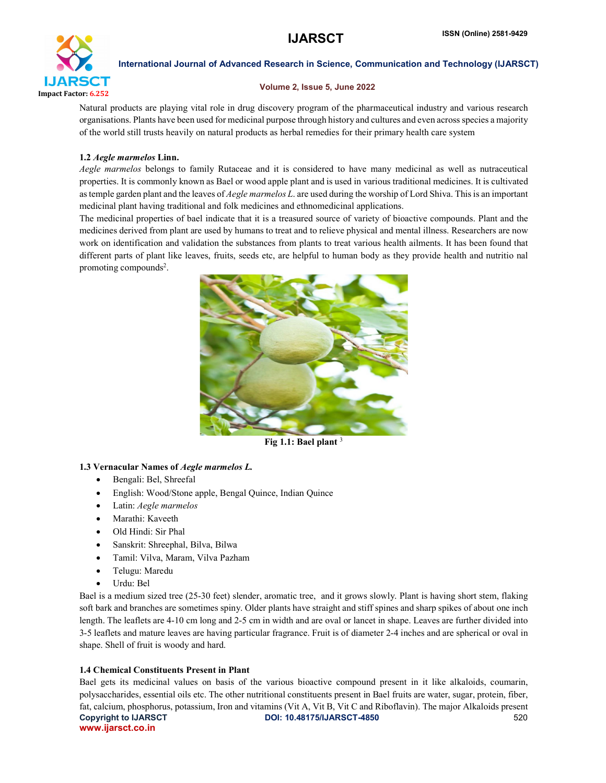

### Volume 2, Issue 5, June 2022

Natural products are playing vital role in drug discovery program of the pharmaceutical industry and various research organisations. Plants have been used for medicinal purpose through history and cultures and even across species a majority of the world still trusts heavily on natural products as herbal remedies for their primary health care system

# 1.2 *Aegle marmelos* Linn.

*Aegle marmelos* belongs to family Rutaceae and it is considered to have many medicinal as well as nutraceutical properties. It is commonly known as Bael or wood apple plant and is used in various traditional medicines. It is cultivated as temple garden plant and the leaves of *Aegle marmelos L*. are used during the worship of Lord Shiva. This is an important medicinal plant having traditional and folk medicines and ethnomedicinal applications.

The medicinal properties of bael indicate that it is a treasured source of variety of bioactive compounds. Plant and the medicines derived from plant are used by humans to treat and to relieve physical and mental illness. Researchers are now work on identification and validation the substances from plants to treat various health ailments. It has been found that different parts of plant like leaves, fruits, seeds etc, are helpful to human body as they provide health and nutritio nal promoting compounds<sup>2</sup>.



Fig 1.1: Bael plant  $3$ 

# 1.3 Vernacular Names of *Aegle marmelos L.*

- Bengali: Bel, Shreefal
- English: Wood/Stone apple, Bengal Quince, Indian Quince
- Latin: *Aegle marmelos*
- Marathi: Kaveeth
- Old Hindi: Sir Phal
- Sanskrit: Shreephal, Bilva, Bilwa
- Tamil: Vilva, Maram, Vilva Pazham
- Telugu: Maredu
- Urdu: Bel

Bael is a medium sized tree (25-30 feet) slender, aromatic tree, and it grows slowly. Plant is having short stem, flaking soft bark and branches are sometimes spiny. Older plants have straight and stiff spines and sharp spikes of about one inch length. The leaflets are 4-10 cm long and 2-5 cm in width and are oval or lancet in shape. Leaves are further divided into 3-5 leaflets and mature leaves are having particular fragrance. Fruit is of diameter 2-4 inches and are spherical or oval in shape. Shell of fruit is woody and hard.

# 1.4 Chemical Constituents Present in Plant

Copyright to IJARSCT **DOI: 10.48175/IJARSCT-4850** 520 www.ijarsct.co.in Bael gets its medicinal values on basis of the various bioactive compound present in it like alkaloids, coumarin, polysaccharides, essential oils etc. The other nutritional constituents present in Bael fruits are water, sugar, protein, fiber, fat, calcium, phosphorus, potassium, Iron and vitamins (Vit A, Vit B, Vit C and Riboflavin). The major Alkaloids present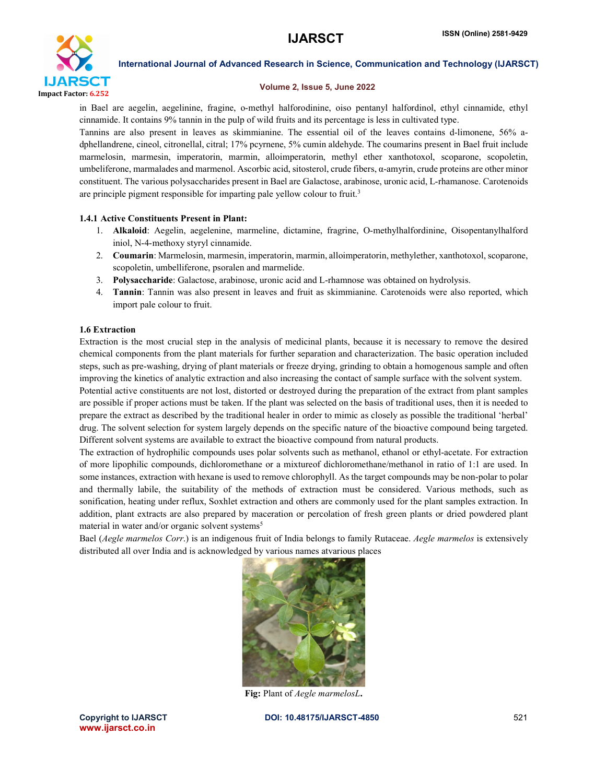

## Volume 2, Issue 5, June 2022

in Bael are aegelin, aegelinine, fragine, o-methyl halforodinine, oiso pentanyl halfordinol, ethyl cinnamide, ethyl cinnamide. It contains 9% tannin in the pulp of wild fruits and its percentage is less in cultivated type.

Tannins are also present in leaves as skimmianine. The essential oil of the leaves contains d-limonene, 56% adphellandrene, cineol, citronellal, citral; 17% pcyrnene, 5% cumin aldehyde. The coumarins present in Bael fruit include marmelosin, marmesin, imperatorin, marmin, alloimperatorin, methyl ether xanthotoxol, scoparone, scopoletin, umbeliferone, marmalades and marmenol. Ascorbic acid, sitosterol, crude fibers, α-amyrin, crude proteins are other minor constituent. The various polysaccharides present in Bael are Galactose, arabinose, uronic acid, L-rhamanose. Carotenoids are principle pigment responsible for imparting pale yellow colour to fruit.3

# 1.4.1 Active Constituents Present in Plant:

- 1. Alkaloid: Aegelin, aegelenine, marmeline, dictamine, fragrine, O-methylhalfordinine, Oisopentanylhalford iniol, N-4-methoxy styryl cinnamide.
- 2. Coumarin: Marmelosin, marmesin, imperatorin, marmin, alloimperatorin, methylether, xanthotoxol, scoparone, scopoletin, umbelliferone, psoralen and marmelide.
- 3. Polysaccharide: Galactose, arabinose, uronic acid and L-rhamnose was obtained on hydrolysis.
- 4. Tannin: Tannin was also present in leaves and fruit as skimmianine. Carotenoids were also reported, which import pale colour to fruit.

# 1.6 Extraction

Extraction is the most crucial step in the analysis of medicinal plants, because it is necessary to remove the desired chemical components from the plant materials for further separation and characterization. The basic operation included steps, such as pre-washing, drying of plant materials or freeze drying, grinding to obtain a homogenous sample and often improving the kinetics of analytic extraction and also increasing the contact of sample surface with the solvent system.

Potential active constituents are not lost, distorted or destroyed during the preparation of the extract from plant samples are possible if proper actions must be taken. If the plant was selected on the basis of traditional uses, then it is needed to prepare the extract as described by the traditional healer in order to mimic as closely as possible the traditional 'herbal' drug. The solvent selection for system largely depends on the specific nature of the bioactive compound being targeted. Different solvent systems are available to extract the bioactive compound from natural products.

The extraction of hydrophilic compounds uses polar solvents such as methanol, ethanol or ethyl-acetate. For extraction of more lipophilic compounds, dichloromethane or a mixtureof dichloromethane/methanol in ratio of 1:1 are used. In some instances, extraction with hexane is used to remove chlorophyll. As the target compounds may be non-polar to polar and thermally labile, the suitability of the methods of extraction must be considered. Various methods, such as sonification, heating under reflux, Soxhlet extraction and others are commonly used for the plant samples extraction. In addition, plant extracts are also prepared by maceration or percolation of fresh green plants or dried powdered plant material in water and/or organic solvent systems<sup>5</sup>

Bael (*Aegle marmelos Corr*.) is an indigenous fruit of India belongs to family Rutaceae. *Aegle marmelos* is extensively distributed all over India and is acknowledged by various names atvarious places



Fig: Plant of *Aegle marmelosL*.

www.ijarsct.co.in

Copyright to IJARSCT DOI: 10.48175/IJARSCT-4850 521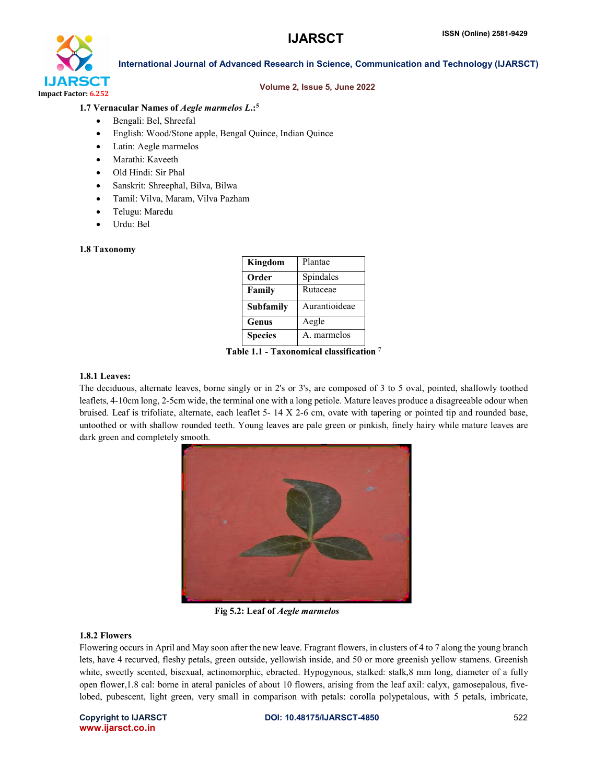

#### Volume 2, Issue 5, June 2022

# 1.7 Vernacular Names of *Aegle marmelos L*.:5

- Bengali: Bel, Shreefal
- English: Wood/Stone apple, Bengal Quince, Indian Quince
- Latin: Aegle marmelos
- Marathi: Kaveeth
- Old Hindi: Sir Phal
- Sanskrit: Shreephal, Bilva, Bilwa
- Tamil: Vilva, Maram, Vilva Pazham
- Telugu: Maredu
- Urdu: Bel

#### 1.8 Taxonomy

| Kingdom          | Plantae       |
|------------------|---------------|
| Order            | Spindales     |
| Family           | Rutaceae      |
| <b>Subfamily</b> | Aurantioideae |
| Genus            | Aegle         |
| <b>Species</b>   | A. marmelos   |

Table 1.1 - Taxonomical classification 7

# 1.8.1 Leaves:

The deciduous, alternate leaves, borne singly or in 2's or 3's, are composed of 3 to 5 oval, pointed, shallowly toothed leaflets, 4-10cm long, 2-5cm wide, the terminal one with a long petiole. Mature leaves produce a disagreeable odour when bruised. Leaf is trifoliate, alternate, each leaflet 5- 14 X 2-6 cm, ovate with tapering or pointed tip and rounded base, untoothed or with shallow rounded teeth. Young leaves are pale green or pinkish, finely hairy while mature leaves are dark green and completely smooth.



Fig 5.2: Leaf of *Aegle marmelos*

### 1.8.2 Flowers

Flowering occurs in April and May soon after the new leave. Fragrant flowers, in clusters of 4 to 7 along the young branch lets, have 4 recurved, fleshy petals, green outside, yellowish inside, and 50 or more greenish yellow stamens. Greenish white, sweetly scented, bisexual, actinomorphic, ebracted. Hypogynous, stalked: stalk,8 mm long, diameter of a fully open flower,1.8 cal: borne in ateral panicles of about 10 flowers, arising from the leaf axil: calyx, gamosepalous, fivelobed, pubescent, light green, very small in comparison with petals: corolla polypetalous, with 5 petals, imbricate,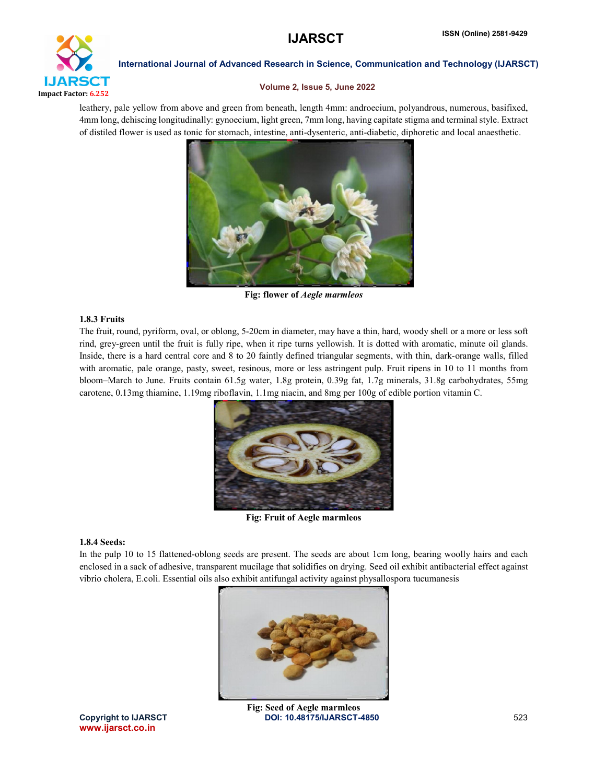

# Volume 2, Issue 5, June 2022

leathery, pale yellow from above and green from beneath, length 4mm: androecium, polyandrous, numerous, basifixed, 4mm long, dehiscing longitudinally: gynoecium, light green, 7mm long, having capitate stigma and terminal style. Extract of distiled flower is used as tonic for stomach, intestine, anti-dysenteric, anti-diabetic, diphoretic and local anaesthetic.



Fig: flower of *Aegle marmleos*

# 1.8.3 Fruits

The fruit, round, pyriform, oval, or oblong, 5-20cm in diameter, may have a thin, hard, woody shell or a more or less soft rind, grey-green until the fruit is fully ripe, when it ripe turns yellowish. It is dotted with aromatic, minute oil glands. Inside, there is a hard central core and 8 to 20 faintly defined triangular segments, with thin, dark-orange walls, filled with aromatic, pale orange, pasty, sweet, resinous, more or less astringent pulp. Fruit ripens in 10 to 11 months from bloom–March to June. Fruits contain 61.5g water, 1.8g protein, 0.39g fat, 1.7g minerals, 31.8g carbohydrates, 55mg carotene, 0.13mg thiamine, 1.19mg riboflavin, 1.1mg niacin, and 8mg per 100g of edible portion vitamin C.



Fig: Fruit of Aegle marmleos

#### 1.8.4 Seeds:

In the pulp 10 to 15 flattened-oblong seeds are present. The seeds are about 1cm long, bearing woolly hairs and each enclosed in a sack of adhesive, transparent mucilage that solidifies on drying. Seed oil exhibit antibacterial effect against vibrio cholera, E.coli. Essential oils also exhibit antifungal activity against physallospora tucumanesis



www.ijarsct.co.in

Copyright to IJARSCT **DOI: 10.48175/IJARSCT-4850** 523 Fig: Seed of Aegle marmleos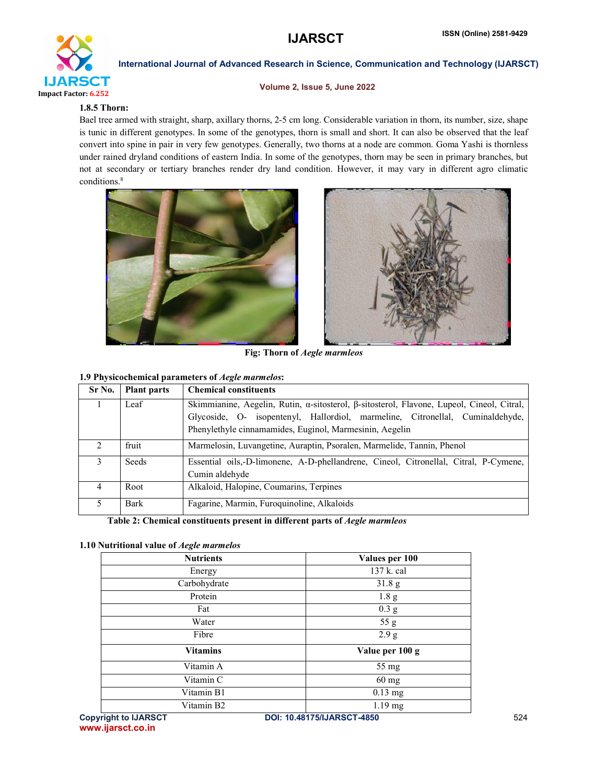

#### Volume 2, Issue 5, June 2022

# 1.8.5 Thorn:

Bael tree armed with straight, sharp, axillary thorns, 2-5 cm long. Considerable variation in thorn, its number, size, shape is tunic in different genotypes. In some of the genotypes, thorn is small and short. It can also be observed that the leaf convert into spine in pair in very few genotypes. Generally, two thorns at a node are common. Goma Yashi is thornless under rained dryland conditions of eastern India. In some of the genotypes, thorn may be seen in primary branches, but not at secondary or tertiary branches render dry land condition. However, it may vary in different agro climatic conditions.<sup>8</sup>





Fig: Thorn of *Aegle marmleos*

# 1.9 Physicochemical parameters of *Aegle marmelos*:

| Sr No.        | <b>Plant parts</b> | <b>Chemical constituents</b>                                                                                                                                                                                                          |  |  |  |
|---------------|--------------------|---------------------------------------------------------------------------------------------------------------------------------------------------------------------------------------------------------------------------------------|--|--|--|
|               | Leaf               | Skimmianine, Aegelin, Rutin, α-sitosterol, β-sitosterol, Flavone, Lupeol, Cineol, Citral,<br>Glycoside, O- isopentenyl, Hallordiol, marmeline, Citronellal, Cuminaldehyde,<br>Phenylethyle cinnamamides, Euginol, Marmesinin, Aegelin |  |  |  |
| $\mathcal{D}$ | fruit              | Marmelosin, Luvangetine, Auraptin, Psoralen, Marmelide, Tannin, Phenol                                                                                                                                                                |  |  |  |
| 3             | Seeds              | Essential oils,-D-limonene, A-D-phellandrene, Cineol, Citronellal, Citral, P-Cymene,<br>Cumin aldehyde                                                                                                                                |  |  |  |
| 4             | Root               | Alkaloid, Halopine, Coumarins, Terpines                                                                                                                                                                                               |  |  |  |
| 5             | <b>Bark</b>        | Fagarine, Marmin, Furoquinoline, Alkaloids                                                                                                                                                                                            |  |  |  |

Table 2: Chemical constituents present in different parts of *Aegle marmleos*

#### 1.10 Nutritional value of *Aegle marmelos*

| <b>Nutrients</b> | Values per 100    |
|------------------|-------------------|
| Energy           | 137 k. cal        |
| Carbohydrate     | 31.8 <sub>g</sub> |
| Protein          | 1.8 <sub>g</sub>  |
| Fat              | 0.3 <sub>g</sub>  |
| Water            | 55 g              |
| Fibre            | 2.9 g             |
| <b>Vitamins</b>  | Value per 100 g   |
| Vitamin A        | 55 mg             |
| Vitamin C        | $60 \text{ mg}$   |
| Vitamin B1       | $0.13$ mg         |
| Vitamin B2       | $1.19$ mg         |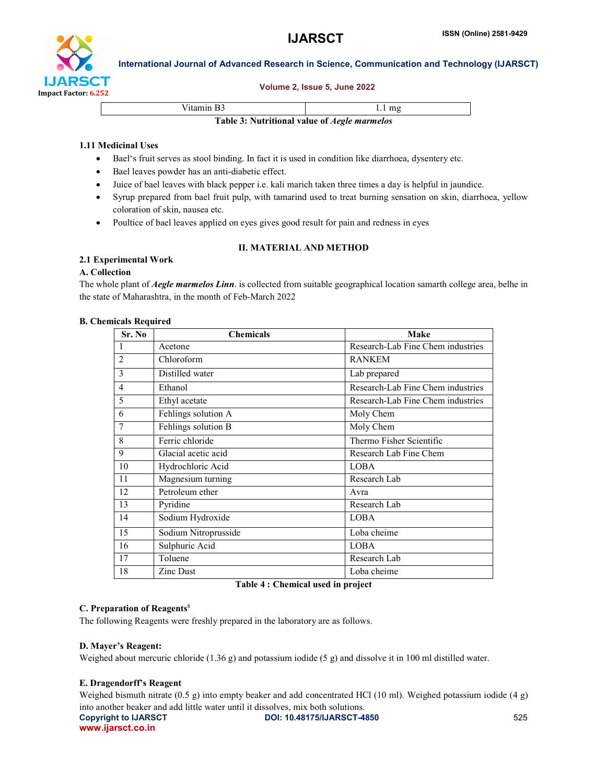

#### Volume 2, Issue 5, June 2022

Vitamin B3 1.1 mg

Table 3: Nutritional value of *Aegle marmelos*

# 1.11 Medicinal Uses

- Bael's fruit serves as stool binding. In fact it is used in condition like diarrhoea, dysentery etc.
- Bael leaves powder has an anti-diabetic effect.
- Juice of bael leaves with black pepper i.e. kali marich taken three times a day is helpful in jaundice.
- Syrup prepared from bael fruit pulp, with tamarind used to treat burning sensation on skin, diarrhoea, yellow coloration of skin, nausea etc.
- Poultice of bael leaves applied on eyes gives good result for pain and redness in eyes

# II. MATERIAL AND METHOD

# 2.1 Experimental Work

# A. Collection

The whole plant of *Aegle marmelos Linn*. is collected from suitable geographical location samarth college area, belhe in the state of Maharashtra, in the month of Feb-March 2022

### B. Chemicals Required

| Sr. No         | <b>Chemicals</b>     | Make                              |
|----------------|----------------------|-----------------------------------|
| 1              | Acetone              | Research-Lab Fine Chem industries |
| $\overline{2}$ | Chloroform           | <b>RANKEM</b>                     |
| 3              | Distilled water      | Lab prepared                      |
| $\overline{4}$ | Ethanol              | Research-Lab Fine Chem industries |
| 5              | Ethyl acetate        | Research-Lab Fine Chem industries |
| 6              | Fehlings solution A  | Moly Chem                         |
| 7              | Fehlings solution B  | Moly Chem                         |
| 8              | Ferric chloride      | Thermo Fisher Scientific          |
| 9              | Glacial acetic acid  | Research Lab Fine Chem            |
| 10             | Hydrochloric Acid    | <b>LOBA</b>                       |
| 11             | Magnesium turning    | Research Lab                      |
| 12             | Petroleum ether      | Avra                              |
| 13             | Pyridine             | Research Lab                      |
| 14             | Sodium Hydroxide     | <b>LOBA</b>                       |
| 15             | Sodium Nitroprusside | Loba cheime                       |
| 16             | Sulphuric Acid       | <b>LOBA</b>                       |
| 17             | Toluene              | Research Lab                      |
| 18             | Zinc Dust            | Loba cheime                       |

Table 4 : Chemical used in project

# C. Preparation of Reagents<sup>8</sup>

The following Reagents were freshly prepared in the laboratory are as follows.

#### D. Mayer's Reagent:

Weighed about mercuric chloride (1.36 g) and potassium iodide (5 g) and dissolve it in 100 ml distilled water.

# E. Dragendorff's Reagent

Copyright to IJARSCT **DOI: 10.48175/IJARSCT-4850** 525 Weighed bismuth nitrate (0.5 g) into empty beaker and add concentrated HCl (10 ml). Weighed potassium iodide (4 g) into another beaker and add little water until it dissolves, mix both solutions.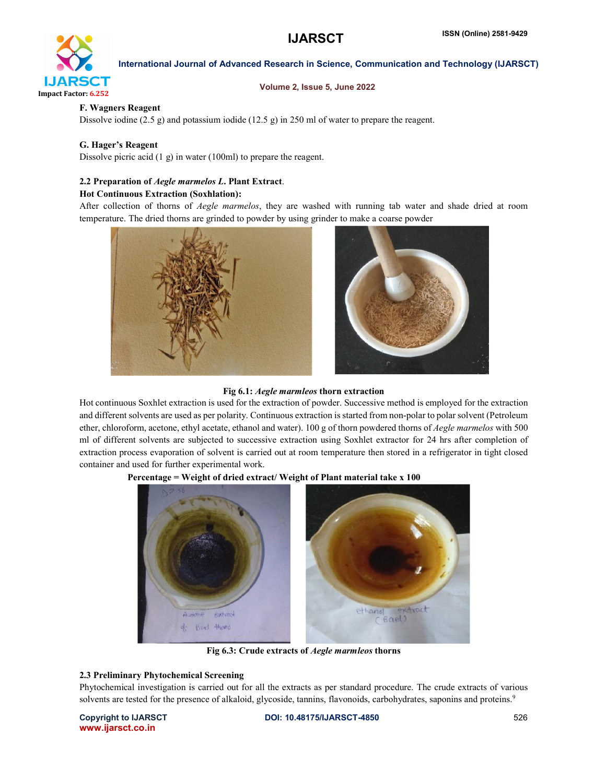

#### Volume 2, Issue 5, June 2022

### F. Wagners Reagent

Dissolve iodine (2.5 g) and potassium iodide (12.5 g) in 250 ml of water to prepare the reagent.

### G. Hager's Reagent

Dissolve picric acid (1 g) in water (100ml) to prepare the reagent.

# 2.2 Preparation of *Aegle marmelos L*. Plant Extract.

#### Hot Continuous Extraction (Soxhlation):

After collection of thorns of *Aegle marmelos*, they are washed with running tab water and shade dried at room temperature. The dried thorns are grinded to powder by using grinder to make a coarse powder



#### Fig 6.1: *Aegle marmleos* thorn extraction

Hot continuous Soxhlet extraction is used for the extraction of powder. Successive method is employed for the extraction and different solvents are used as per polarity. Continuous extraction is started from non-polar to polar solvent (Petroleum ether, chloroform, acetone, ethyl acetate, ethanol and water). 100 g of thorn powdered thorns of *Aegle marmelos* with 500 ml of different solvents are subjected to successive extraction using Soxhlet extractor for 24 hrs after completion of extraction process evaporation of solvent is carried out at room temperature then stored in a refrigerator in tight closed container and used for further experimental work.



# Percentage = Weight of dried extract/ Weight of Plant material take x 100

Fig 6.3: Crude extracts of *Aegle marmleos* thorns

#### 2.3 Preliminary Phytochemical Screening

Phytochemical investigation is carried out for all the extracts as per standard procedure. The crude extracts of various solvents are tested for the presence of alkaloid, glycoside, tannins, flavonoids, carbohydrates, saponins and proteins.<sup>9</sup>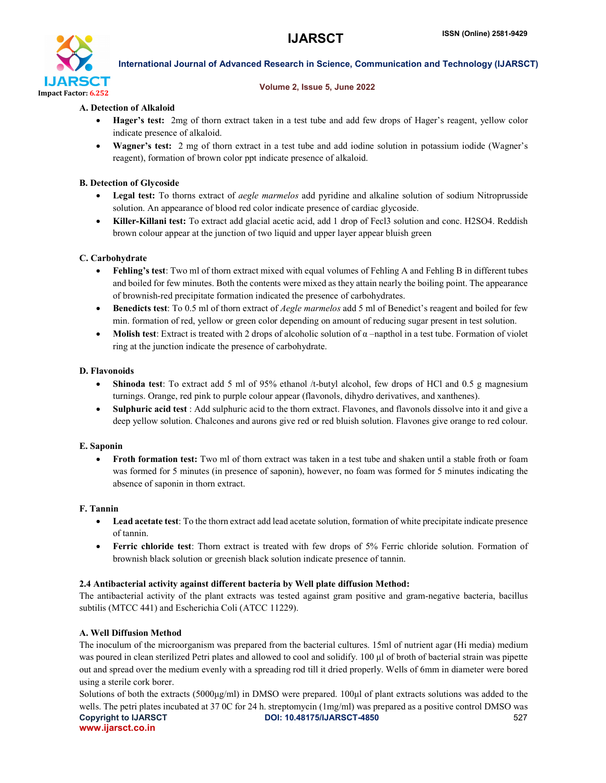

### Volume 2, Issue 5, June 2022

# A. Detection of Alkaloid

- Hager's test: 2mg of thorn extract taken in a test tube and add few drops of Hager's reagent, yellow color indicate presence of alkaloid.
- Wagner's test: 2 mg of thorn extract in a test tube and add iodine solution in potassium iodide (Wagner's reagent), formation of brown color ppt indicate presence of alkaloid.

# B. Detection of Glycoside

- Legal test: To thorns extract of *aegle marmelos* add pyridine and alkaline solution of sodium Nitroprusside solution. An appearance of blood red color indicate presence of cardiac glycoside.
- Killer-Killani test: To extract add glacial acetic acid, add 1 drop of Fecl3 solution and conc. H2SO4. Reddish brown colour appear at the junction of two liquid and upper layer appear bluish green

# C. Carbohydrate

- Fehling's test: Two ml of thorn extract mixed with equal volumes of Fehling A and Fehling B in different tubes and boiled for few minutes. Both the contents were mixed as they attain nearly the boiling point. The appearance of brownish-red precipitate formation indicated the presence of carbohydrates.
- Benedicts test: To 0.5 ml of thorn extract of *Aegle marmelos* add 5 ml of Benedict's reagent and boiled for few min. formation of red, yellow or green color depending on amount of reducing sugar present in test solution.
- Molish test: Extract is treated with 2 drops of alcoholic solution of  $\alpha$  –napthol in a test tube. Formation of violet ring at the junction indicate the presence of carbohydrate.

# D. Flavonoids

- Shinoda test: To extract add 5 ml of 95% ethanol /t-butyl alcohol, few drops of HCl and 0.5 g magnesium turnings. Orange, red pink to purple colour appear (flavonols, dihydro derivatives, and xanthenes).
- Sulphuric acid test : Add sulphuric acid to the thorn extract. Flavones, and flavonols dissolve into it and give a deep yellow solution. Chalcones and aurons give red or red bluish solution. Flavones give orange to red colour.

#### E. Saponin

 Froth formation test: Two ml of thorn extract was taken in a test tube and shaken until a stable froth or foam was formed for 5 minutes (in presence of saponin), however, no foam was formed for 5 minutes indicating the absence of saponin in thorn extract.

# F. Tannin

- Lead acetate test: To the thorn extract add lead acetate solution, formation of white precipitate indicate presence of tannin.
- Ferric chloride test: Thorn extract is treated with few drops of 5% Ferric chloride solution. Formation of brownish black solution or greenish black solution indicate presence of tannin.

# 2.4 Antibacterial activity against different bacteria by Well plate diffusion Method:

The antibacterial activity of the plant extracts was tested against gram positive and gram-negative bacteria, bacillus subtilis (MTCC 441) and Escherichia Coli (ATCC 11229).

# A. Well Diffusion Method

The inoculum of the microorganism was prepared from the bacterial cultures. 15ml of nutrient agar (Hi media) medium was poured in clean sterilized Petri plates and allowed to cool and solidify. 100 μl of broth of bacterial strain was pipette out and spread over the medium evenly with a spreading rod till it dried properly. Wells of 6mm in diameter were bored using a sterile cork borer.

Copyright to IJARSCT **DOI: 10.48175/IJARSCT-4850** 527 www.ijarsct.co.in Solutions of both the extracts (5000μg/ml) in DMSO were prepared. 100μl of plant extracts solutions was added to the wells. The petri plates incubated at 37 0C for 24 h. streptomycin (1mg/ml) was prepared as a positive control DMSO was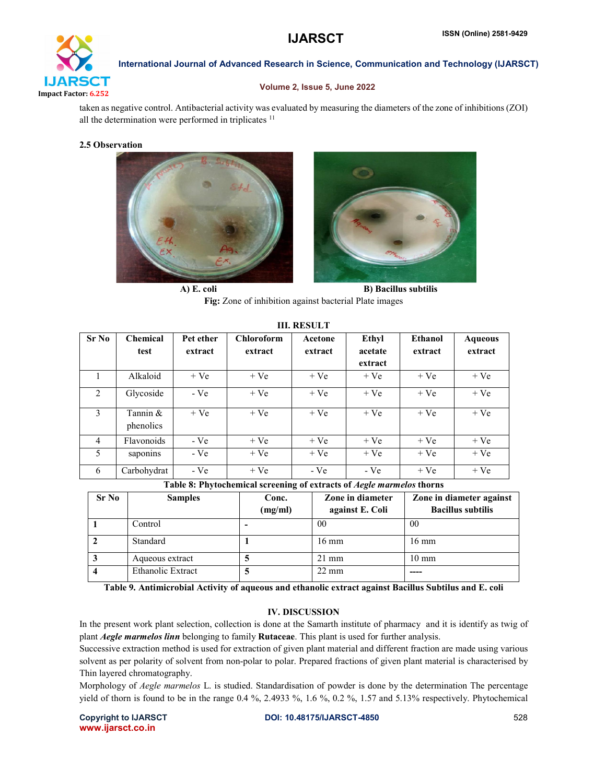

# Volume 2, Issue 5, June 2022

taken as negative control. Antibacterial activity was evaluated by measuring the diameters of the zone of inhibitions (ZOI) all the determination were performed in triplicates <sup>11</sup>

### 2.5 Observation





A) E. coli B) Bacillus subtilis Fig: Zone of inhibition against bacterial Plate images

III. RESULT

| Sr No          | <b>Chemical</b>       | Pet ether | <b>Chloroform</b> | Acetone | Ethyl   | <b>Ethanol</b> | <b>Aqueous</b> |
|----------------|-----------------------|-----------|-------------------|---------|---------|----------------|----------------|
|                | test                  | extract   | extract           | extract | acetate | extract        | extract        |
|                |                       |           |                   |         | extract |                |                |
|                | Alkaloid              | $+Ve$     | $+Ve$             | $+Ve$   | $+Ve$   | $+Ve$          | $+Ve$          |
| 2              | Glycoside             | $-Ve$     | $+Ve$             | $+Ve$   | $+Ve$   | $+Ve$          | $+Ve$          |
| 3              | Tannin &<br>phenolics | $+Ve$     | $+Ve$             | $+Ve$   | $+Ve$   | $+Ve$          | $+Ve$          |
| $\overline{4}$ | Flavonoids            | $-Ve$     | $+Ve$             | $+Ve$   | $+Ve$   | $+Ve$          | $+Ve$          |
| 5              | saponins              | $-Ve$     | $+Ve$             | $+Ve$   | $+Ve$   | $+Ve$          | $+Ve$          |
| 6              | Carbohydrat           | $-Ve$     | $+Ve$             | $-Ve$   | - Ve    | $+Ve$          | $+Ve$          |

Table 8: Phytochemical screening of extracts of *Aegle marmelos* thorns

| Sr No | <b>Samples</b>    | Conc.<br>(mg/ml) | Zone in diameter<br>against E. Coli | Zone in diameter against<br><b>Bacillus subtilis</b> |
|-------|-------------------|------------------|-------------------------------------|------------------------------------------------------|
|       | Control           | ۰                | 00                                  | 00                                                   |
|       | Standard          |                  | $16 \text{ mm}$                     | $16 \text{ mm}$                                      |
| Ĵ     | Aqueous extract   |                  | $21 \text{ mm}$                     | $10 \text{ mm}$                                      |
|       | Ethanolic Extract |                  | $22 \text{ mm}$                     |                                                      |

Table 9. Antimicrobial Activity of aqueous and ethanolic extract against Bacillus Subtilus and E. coli

# IV. DISCUSSION

In the present work plant selection, collection is done at the Samarth institute of pharmacy and it is identify as twig of plant *Aegle marmelos linn* belonging to family Rutaceae. This plant is used for further analysis.

Successive extraction method is used for extraction of given plant material and different fraction are made using various solvent as per polarity of solvent from non-polar to polar. Prepared fractions of given plant material is characterised by Thin layered chromatography.

Morphology of *Aegle marmelos* L. is studied. Standardisation of powder is done by the determination The percentage yield of thorn is found to be in the range 0.4 %, 2.4933 %, 1.6 %, 0.2 %, 1.57 and 5.13% respectively. Phytochemical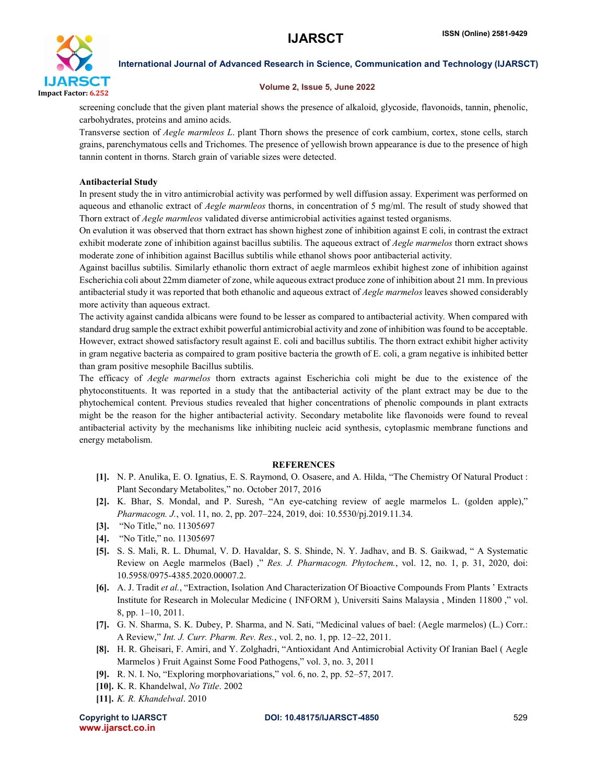

#### Volume 2, Issue 5, June 2022

screening conclude that the given plant material shows the presence of alkaloid, glycoside, flavonoids, tannin, phenolic, carbohydrates, proteins and amino acids.

Transverse section of *Aegle marmleos L*. plant Thorn shows the presence of cork cambium, cortex, stone cells, starch grains, parenchymatous cells and Trichomes. The presence of yellowish brown appearance is due to the presence of high tannin content in thorns. Starch grain of variable sizes were detected.

### Antibacterial Study

In present study the in vitro antimicrobial activity was performed by well diffusion assay. Experiment was performed on aqueous and ethanolic extract of *Aegle marmleos* thorns, in concentration of 5 mg/ml. The result of study showed that Thorn extract of *Aegle marmleos* validated diverse antimicrobial activities against tested organisms.

On evalution it was observed that thorn extract has shown highest zone of inhibition against E coli, in contrast the extract exhibit moderate zone of inhibition against bacillus subtilis. The aqueous extract of *Aegle marmelos* thorn extract shows moderate zone of inhibition against Bacillus subtilis while ethanol shows poor antibacterial activity.

Against bacillus subtilis. Similarly ethanolic thorn extract of aegle marmleos exhibit highest zone of inhibition against Escherichia coli about 22mm diameter of zone, while aqueous extract produce zone of inhibition about 21 mm. In previous antibacterial study it was reported that both ethanolic and aqueous extract of *Aegle marmelos* leaves showed considerably more activity than aqueous extract.

The activity against candida albicans were found to be lesser as compared to antibacterial activity. When compared with standard drug sample the extract exhibit powerful antimicrobial activity and zone of inhibition was found to be acceptable. However, extract showed satisfactory result against E. coli and bacillus subtilis. The thorn extract exhibit higher activity in gram negative bacteria as compaired to gram positive bacteria the growth of E. coli, a gram negative is inhibited better than gram positive mesophile Bacillus subtilis.

The efficacy of *Aegle marmelos* thorn extracts against Escherichia coli might be due to the existence of the phytoconstituents. It was reported in a study that the antibacterial activity of the plant extract may be due to the phytochemical content. Previous studies revealed that higher concentrations of phenolic compounds in plant extracts might be the reason for the higher antibacterial activity. Secondary metabolite like flavonoids were found to reveal antibacterial activity by the mechanisms like inhibiting nucleic acid synthesis, cytoplasmic membrane functions and energy metabolism.

#### **REFERENCES**

- [1]. N. P. Anulika, E. O. Ignatius, E. S. Raymond, O. Osasere, and A. Hilda, "The Chemistry Of Natural Product : Plant Secondary Metabolites," no. October 2017, 2016
- [2]. K. Bhar, S. Mondal, and P. Suresh, "An eye-catching review of aegle marmelos L. (golden apple)," *Pharmacogn. J.*, vol. 11, no. 2, pp. 207–224, 2019, doi: 10.5530/pj.2019.11.34.
- [3]. "No Title," no. 11305697
- [4]. "No Title," no. 11305697
- [5]. S. S. Mali, R. L. Dhumal, V. D. Havaldar, S. S. Shinde, N. Y. Jadhav, and B. S. Gaikwad, " A Systematic Review on Aegle marmelos (Bael) ," *Res. J. Pharmacogn. Phytochem.*, vol. 12, no. 1, p. 31, 2020, doi: 10.5958/0975-4385.2020.00007.2.
- [6]. A. J. Tradit *et al.*, "Extraction, Isolation And Characterization Of Bioactive Compounds From Plants ' Extracts Institute for Research in Molecular Medicine ( INFORM ), Universiti Sains Malaysia , Minden 11800 ," vol. 8, pp. 1–10, 2011.
- [7]. G. N. Sharma, S. K. Dubey, P. Sharma, and N. Sati, "Medicinal values of bael: (Aegle marmelos) (L.) Corr.: A Review," *Int. J. Curr. Pharm. Rev. Res.*, vol. 2, no. 1, pp. 12–22, 2011.
- [8]. H. R. Gheisari, F. Amiri, and Y. Zolghadri, "Antioxidant And Antimicrobial Activity Of Iranian Bael ( Aegle Marmelos ) Fruit Against Some Food Pathogens," vol. 3, no. 3, 2011
- [9]. R. N. I. No, "Exploring morphovariations," vol. 6, no. 2, pp. 52–57, 2017.
- [10]. K. R. Khandelwal, *No Title*. 2002
- [11]. *K. R. Khandelwal*. 2010